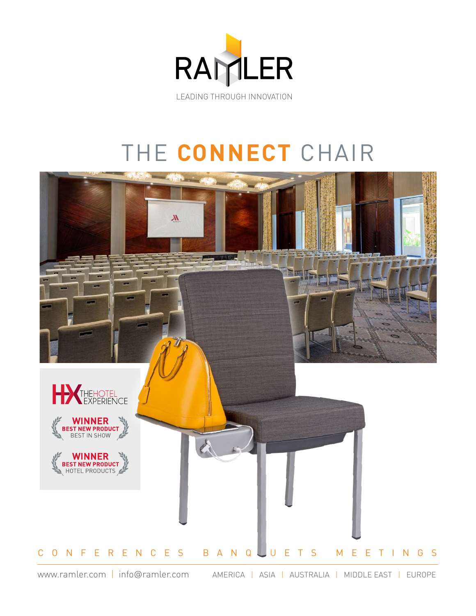

## THE **CONNECT** CHAIR



www.ramler.com | info@ramler.com AMERICA | ASIA | AUSTRALIA | MIDDLE EAST | EUROPE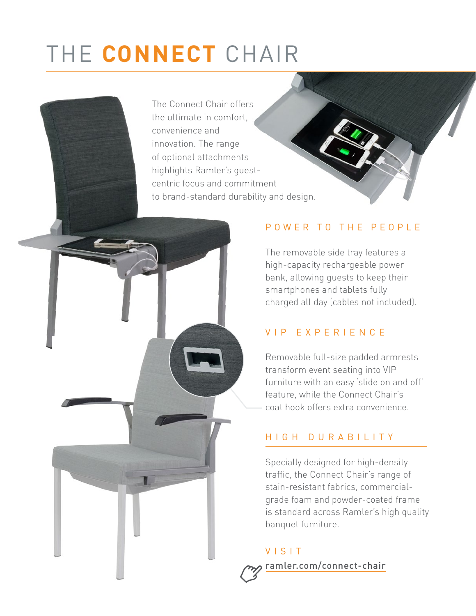# THE **CONNECT** CHAIR

The Connect Chair offers the ultimate in comfort, convenience and innovation. The range of optional attachments highlights Ramler's guestcentric focus and commitment to brand-standard durability and design.

## POWER TO THE PEOPLE

The removable side tray features a high-capacity rechargeable power bank, allowing guests to keep their smartphones and tablets fully charged all day (cables not included).

## VIP EXPERIENCE

Removable full-size padded armrests transform event seating into VIP furniture with an easy 'slide on and off' feature, while the Connect Chair's coat hook offers extra convenience.

## HIGH DURABILITY

Specially designed for high-density traffic, the Connect Chair's range of stain-resistant fabrics, commercialgrade foam and powder-coated frame is standard across Ramler's high quality banquet furniture.

VISIT ramler.com/connect-chair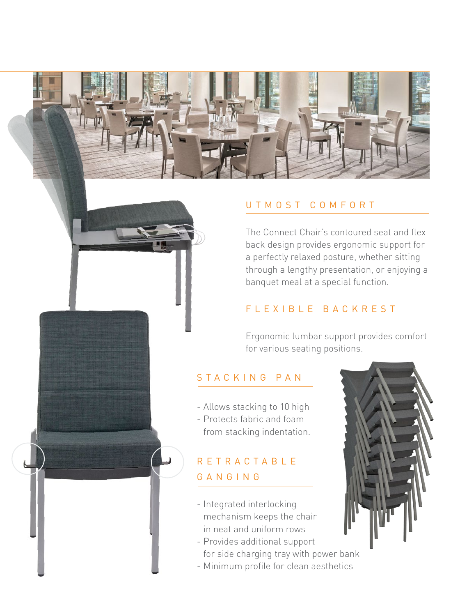

#### UTMOST COMFORT

The Connect Chair's contoured seat and flex back design provides ergonomic support for a perfectly relaxed posture, whether sitting through a lengthy presentation, or enjoying a banquet meal at a special function.

#### FLEXIBLE BACKREST

Ergonomic lumbar support provides comfort for various seating positions.

#### STACKING PAN

- Allows stacking to 10 high - Protects fabric and foam from stacking indentation.

## RETRACTABLE GANGING

- Integrated interlocking mechanism keeps the chair in neat and uniform rows
- Provides additional support for side charging tray with power bank
- Minimum profile for clean aesthetics